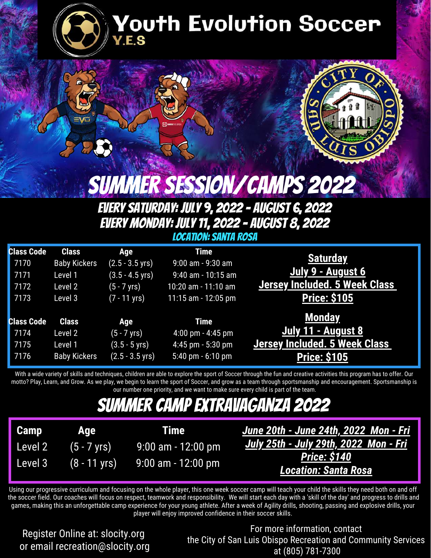

# Youth Evolution Soccer



Summer Session/Camps 2022

#### Every Saturday: July 9, 2022 - August 6, 2022 Every Monday: July 11, 2022 - August 8, 2022 Location: Santa Rosa

|                                      | <b>Time</b>           | Age                        | <b>Class</b>        | <b>Class Code</b> |
|--------------------------------------|-----------------------|----------------------------|---------------------|-------------------|
| <b>Saturday</b>                      | $9:00$ am - $9:30$ am | $(2.5 - 3.5 \,\text{yrs})$ | <b>Baby Kickers</b> | 7170              |
| July 9 - August 6                    | 9:40 am - 10:15 am    | $(3.5 - 4.5 \text{ yrs})$  | Level 1             | 7171              |
| Jersey Included. 5 Week Class        | 10:20 am - 11:10 am   | (5 - 7 yrs)                | Level 2             | 7172              |
| <b>Price: \$105</b>                  | 11:15 am - 12:05 pm   | $(7 - 11 \text{ yrs})$     | Level 3             | 7173              |
| <b>Monday</b>                        |                       |                            |                     |                   |
|                                      | <b>Time</b>           | Age                        | <b>Class</b>        | <b>Class Code</b> |
| July 11 - August 8                   | $4:00$ pm $- 4:45$ pm | $(5 - 7$ yrs)              | Level 2             | 7174              |
| <b>Jersey Included. 5 Week Class</b> | $4:45$ pm $-5:30$ pm  | $(3.5 - 5 \text{ yrs})$    | Level 1             | 7175              |
| <b>Price: \$105</b>                  | 5:40 pm $-6:10$ pm    | $(2.5 - 3.5 \,\text{yrs})$ | <b>Baby Kickers</b> | 7176              |
|                                      |                       |                            |                     |                   |

With a wide variety of skills and techniques, children are able to explore the sport of Soccer through the fun and creative activities this program has to offer. Our motto? Play, Learn, and Grow. As we play, we begin to learn the sport of Soccer, and grow as a team through sportsmanship and encouragement. Sportsmanship is our number one priority, and we want to make sure every child is part of the team.

### Summer Camp Extravaganza 2022

| Camp    | Age                    | <b>Time</b>        |
|---------|------------------------|--------------------|
| Level 2 | $(5 - 7 \text{ yrs})$  | 9:00 am - 12:00 pm |
| Level 3 | $(8 - 11 \text{ yrs})$ | 9:00 am - 12:00 pm |

*June 20th - June 24th, 2022 Mon - Fri July 25th - July 29th, 2022 Mon - Fri Price: \$140 Location: Santa Rosa*

Using our progressive curriculum and focusing on the whole player, this one week soccer camp will teach your child the skills they need both on and off the soccer field. Our coaches will focus on respect, teamwork and responsibility. We will start each day with a 'skill of the day' and progress to drills and games, making this an unforgettable camp experience for your young athlete. After a week of Agility drills, shooting, passing and explosive drills, your player will enjoy improved confidence in their soccer skills.

Register Online at: slocity.org or email recreation@slocity.org

For more information, contact the City of San Luis Obispo Recreation and Community Services at (805) 781-7300